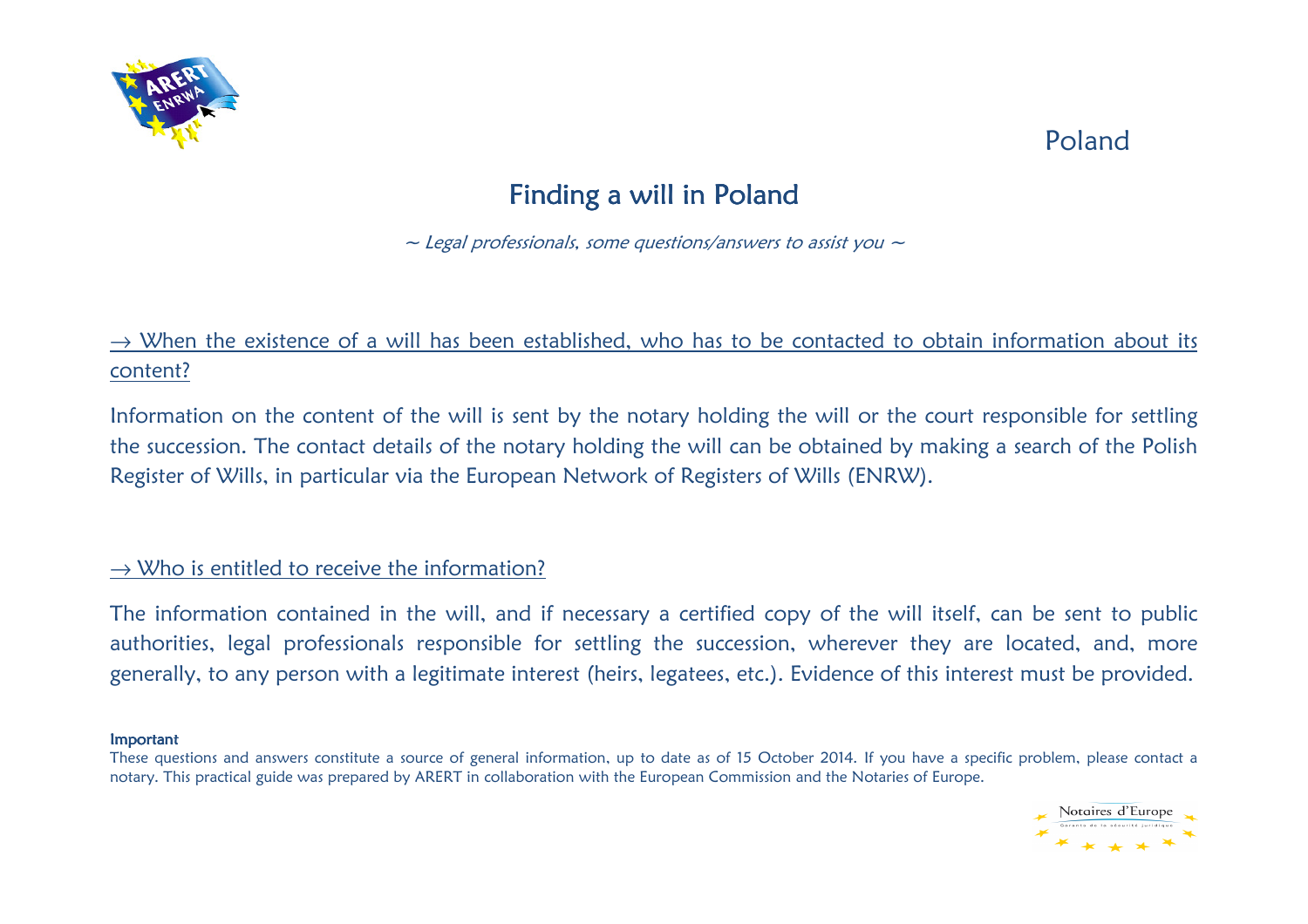

## Poland

# Finding a will in Poland

 $\sim$  Legal professionals, some questions/answers to assist you  $\sim$ 

## $\rightarrow$  When the existence of a will has been established, who has to be contacted to obtain information about its content?

Information on the content of the will is sent by the notary holding the will or the court responsible for settling the succession. The contact details of the notary holding the will can be obtained by making a search of the Polish Register of Wills, in particular via the European Network of Registers of Wills (ENRW).

### $\rightarrow$  Who is entitled to receive the information?

The information contained in the will, and if necessary a certified copy of the will itself, can be sent to public authorities, legal professionals responsible for settling the succession, wherever they are located, and, more generally, to any person with a legitimate interest (heirs, legatees, etc.). Evidence of this interest must be provided.

#### Important

These questions and answers constitute a source of general information, up to date as of 15 October 2014. If you have a specific problem, please contact a notary. This practical guide was prepared by ARERT in collaboration with the European Commission and the Notaries of Europe.